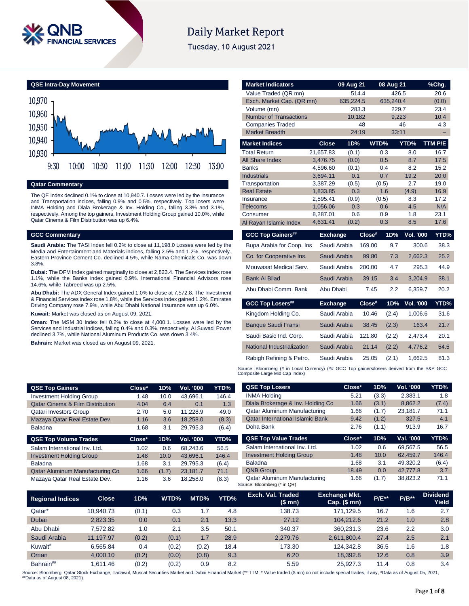

# **Daily Market Report**

Tuesday, 10 August 2021

**QSE Intra-Day Movement**



**Qatar Commentary**

The QE Index declined 0.1% to close at 10,940.7. Losses were led by the Insurance and Transportation indices, falling 0.9% and 0.5%, respectively. Top losers were INMA Holding and Dlala Brokerage & Inv. Holding Co., falling 3.3% and 3.1%, respectively. Among the top gainers, Investment Holding Group gained 10.0%, while Qatar Cinema & Film Distribution was up 6.4%.

### **GCC Commentary**

**Saudi Arabia:** The TASI Index fell 0.2% to close at 11,198.0 Losses were led by the Media and Entertainment and Materials indices, falling 2.5% and 1.2%, respectively. Eastern Province Cement Co. declined 4.5%, while Nama Chemicals Co. was down 3.8%.

**Dubai:** The DFM Index gained marginally to close at 2,823.4. The Services index rose 1.1%, while the Banks index gained 0.9%. International Financial Advisors rose 14.6%, while Tabreed was up 2.5%.

**Abu Dhabi:** The ADX General Index gained 1.0% to close at 7,572.8. The Investment & Financial Services index rose 1.8%, while the Services index gained 1.2%. Emirates Driving Company rose 7.9%, while Abu Dhabi National Insurance was up 6.0%.

**Kuwait:** Market was closed as on August 09, 2021.

**Oman:** The MSM 30 Index fell 0.2% to close at 4,000.1. Losses were led by the Services and Industrial indices, falling 0.4% and 0.3%, respectively. Al Suwadi Power declined 3.7%, while National Aluminum Products Co. was down 3.4%.

**Bahrain:** Market was closed as on August 09, 2021.

| <b>Market Indicators</b>                                                                   |                      | 09 Aug 21    |        | 08 Aug 21  |                  | %Chg.       |
|--------------------------------------------------------------------------------------------|----------------------|--------------|--------|------------|------------------|-------------|
| Value Traded (QR mn)                                                                       |                      |              | 514.4  | 426.5      |                  | 20.6        |
| Exch. Market Cap. (QR mn)                                                                  |                      | 635,224.5    |        | 635,240.4  |                  | (0.0)       |
| Volume (mn)                                                                                |                      |              | 283.3  | 229.7      |                  | 23.4        |
| <b>Number of Transactions</b>                                                              |                      | 10,182       |        | 9,223      |                  | 10.4        |
| <b>Companies Traded</b>                                                                    |                      |              | 48     |            | 46               | 4.3         |
| <b>Market Breadth</b>                                                                      |                      |              | 24:19  | 33:11      |                  |             |
| <b>Market Indices</b>                                                                      | <b>Close</b>         | 1D%          |        | WTD%       | YTD%             | TTM P/E     |
| <b>Total Return</b>                                                                        | 21,657.83            | (0.1)        |        | 0.3        | 8.0              | 16.7        |
| All Share Index                                                                            | 3,476.75             | (0.0)        |        | 0.5        | 8.7              | 17.5        |
| <b>Banks</b>                                                                               | 4,596.60             | (0.1)        |        | 0.4        | 8.2              | 15.2        |
| <b>Industrials</b>                                                                         | 3,694.11             | 0.1          |        | 0.7        | 19.2             | 20.0        |
| Transportation                                                                             | 3,387.29             | (0.5)        |        | (0.5)      | 2.7              | 19.0        |
| <b>Real Estate</b>                                                                         | 1,833.85             | 0.3          |        | 1.6        | (4.9)            | 16.9        |
| Insurance                                                                                  | 2,595.41             | (0.9)        |        | (0.5)      | 8.3              | 17.2        |
| <b>Telecoms</b>                                                                            | 1,056.06             | 0.3<br>0.6   |        | 0.6        | 4.5<br>1.8       | N/A<br>23.1 |
| Consumer<br>Al Rayan Islamic Index                                                         | 8,287.01<br>4,631.41 | (0.2)        |        | 0.9<br>0.3 | 8.5              | 17.6        |
|                                                                                            |                      |              |        |            |                  |             |
| <b>GCC Top Gainers##</b>                                                                   | <b>Exchange</b>      |              | Close# | 1D%        | <b>Vol. '000</b> | YTD%        |
| Bupa Arabia for Coop. Ins                                                                  |                      | Saudi Arabia | 169.00 | 9.7        | 300.6            | 38.3        |
| Co. for Cooperative Ins.                                                                   |                      | Saudi Arabia | 99.80  | 7.3        | 2,662.3          | 25.2        |
| Mouwasat Medical Serv.                                                                     |                      | Saudi Arabia | 200.00 | 4.7        | 295.3            | 44.9        |
| <b>Bank Al Bilad</b>                                                                       |                      | Saudi Arabia | 39.15  | 3.4        | 3,204.9          | 38.1        |
| Abu Dhabi Comm. Bank                                                                       | Abu Dhabi            |              | 7.45   | 2.2        | 6,359.7          | 20.2        |
| <b>GCC Top Losers##</b>                                                                    | <b>Exchange</b>      |              | Close# | 1D%        | Vol. '000        | YTD%        |
| Kingdom Holding Co.                                                                        |                      | Saudi Arabia | 10.46  | (2.4)      | 1,006.6          | 31.6        |
| <b>Banque Saudi Fransi</b>                                                                 |                      | Saudi Arabia | 38.45  | (2.3)      | 163.4            | 21.7        |
| Saudi Basic Ind. Corp.                                                                     |                      | Saudi Arabia | 121.80 | (2.2)      | 2,473.4          | 20.1        |
| National Industrialization                                                                 |                      | Saudi Arabia | 21.14  | (2.2)      | 4,776.2          | 54.5        |
| Rabigh Refining & Petro.                                                                   |                      | Saudi Arabia | 25.05  | (2.1)      | 1,662.5          | 81.3        |
| ource: Bloomberg (# in Local Currency) (## GCC Top gainers/losers derived from the S&P GCC |                      |              |        |            |                  |             |

Source: Bloomberg (# in Local Currency) (## GCC Top gainers/losers derived from the S&P GCC Composite Large Mid Cap Index)

**QSE Top Losers Close\* 1D% Vol. '000 YTD%** INMA Holding 5.21 (3.3) 2,383.1 1.8 Dlala Brokerage & Inv. Holding Co 1.66 (3.1) 8,862.2 (7.4)

| <b>QSE Top Gainers</b>                      | Close* | 1D%  | Vol. '000 | YTD%  |
|---------------------------------------------|--------|------|-----------|-------|
| <b>Investment Holding Group</b>             | 1.48   | 10.0 | 43.696.1  | 146.4 |
| <b>Qatar Cinema &amp; Film Distribution</b> | 4.04   | 6.4  | 0.1       | 1.3   |
| <b>Qatari Investors Group</b>               | 2.70   | 5.0  | 11.228.9  | 49.0  |
| Mazaya Qatar Real Estate Dev.               | 1.16   | 3.6  | 18.258.0  | (8.3) |
| <b>Baladna</b>                              | 1.68   | 3.1  | 29.795.3  | (6.4) |
| <b>QSE Top Volume Trades</b>                | Close* | 1D%  | Vol. '000 | YTD%  |
| Salam International Inv. Ltd.               | 1.02   | 0.6  | 68.243.6  | 56.5  |
| <b>Investment Holding Group</b>             | 1.48   | 10.0 | 43.696.1  | 146.4 |

Baladna 1.68 3.1 29,795.3 (6.4) Qatar Aluminum Manufacturing Co 1.66 (1.7) 23,181.7 71.1 Mazaya Qatar Real Estate Dev. 1.16 3.6 18,258.0 (8.3)

| Qatar Aluminum Manufacturing                                | 1.66   | (1.7) | 23,181.7  | 71.1  |
|-------------------------------------------------------------|--------|-------|-----------|-------|
| <b>Qatar International Islamic Bank</b>                     | 9.42   | (1.2) | 327.5     | 4.1   |
| Doha Bank                                                   | 2.76   | (1.1) | 913.9     | 16.7  |
| <b>QSE Top Value Trades</b>                                 | Close* | 1D%   | Val. '000 | YTD%  |
| Salam International Inv. Ltd.                               | 1.02   | 0.6   | 69,567.5  | 56.5  |
| <b>Investment Holding Group</b>                             | 1.48   | 10.0  | 62.459.7  | 146.4 |
| <b>Baladna</b>                                              | 1.68   | 3.1   | 49.320.2  | (6.4) |
| <b>QNB Group</b>                                            | 18.49  | 0.0   | 42,777.8  | 3.7   |
| Qatar Aluminum Manufacturing<br>Source: Bloomberg (* in QR) | 1.66   | (1.7) | 38.823.2  | 71.1  |

| <b>Regional Indices</b> | <b>Close</b> | 1D%   | WTD%  | MTD%  | YTD% | Exch. Val. Traded<br>(\$mn) | <b>Exchange Mkt.</b><br>Cap. $($mn)$ | <b>P/E**</b> | $P/B**$ | <b>Dividend</b><br>Yield |
|-------------------------|--------------|-------|-------|-------|------|-----------------------------|--------------------------------------|--------------|---------|--------------------------|
| Qatar*                  | 10.940.73    | (0.1) | 0.3   | . 7   | 4.8  | 138.73                      | 171.129.5                            | 16.7         | 1.6     | 2.7                      |
| <b>Dubai</b>            | 2,823.35     | 0.0   | 0.1   | 2.1   | 13.3 | 27.12                       | 104.212.6                            | 21.2         | 1.0     | 2.8                      |
| Abu Dhabi               | 7.572.82     | 1.0   | 2.1   | 3.5   | 50.1 | 340.37                      | 360.231.3                            | 23.6         | 2.2     | 3.0                      |
| Saudi Arabia            | 11.197.97    | (0.2) | (0.1) | 1.7   | 28.9 | 2.279.76                    | 2.611.800.4                          | 27.4         | 2.5     | 2.1                      |
| Kuwait <sup>#</sup>     | 6.565.84     | 0.4   | (0.2) | (0.2) | 18.4 | 173.30                      | 124.342.8                            | 36.5         | 1.6     | 1.8                      |
| Oman                    | 4.000.10     | (0.2) | (0.0) | (0.8) | 9.3  | 6.20                        | 18.392.8                             | 12.6         | 0.8     | 3.9                      |
| Bahrain##               | .611.46      | (0.2) | (0.2) | 0.9   | 8.2  | 5.59                        | 25.927.3                             | 11.4         | 0.8     | 3.4                      |

Source: Bloomberg, Qatar Stock Exchange, Tadawul, Muscat Securities Market and Dubai Financial Market (\*\* TTM; \* Value traded (\$ mn) do not include special trades, if any, #Data as of August 05, 2021, ##Data as of August 08, 2021)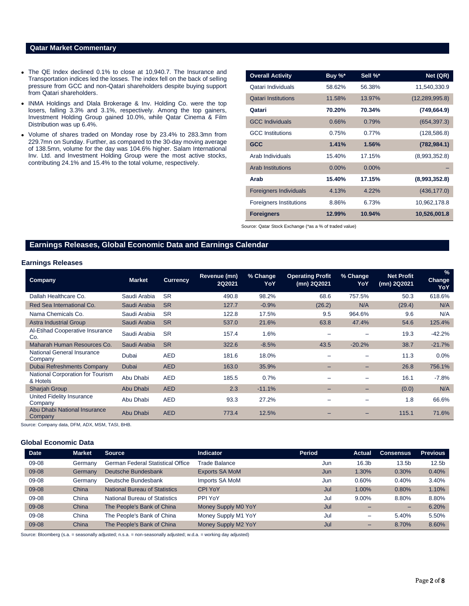# **Qatar Market Commentary**

- The QE Index declined 0.1% to close at 10,940.7. The Insurance and Transportation indices led the losses. The index fell on the back of selling pressure from GCC and non-Qatari shareholders despite buying support from Qatari shareholders.
- INMA Holdings and Dlala Brokerage & Inv. Holding Co. were the top losers, falling 3.3% and 3.1%, respectively. Among the top gainers, Investment Holding Group gained 10.0%, while Qatar Cinema & Film Distribution was up 6.4%.
- Volume of shares traded on Monday rose by 23.4% to 283.3mn from 229.7mn on Sunday. Further, as compared to the 30-day moving average of 138.5mn, volume for the day was 104.6% higher. Salam International Inv. Ltd. and Investment Holding Group were the most active stocks, contributing 24.1% and 15.4% to the total volume, respectively.

| <b>Overall Activity</b>        | Buy %*   | Sell %*  | Net (QR)         |
|--------------------------------|----------|----------|------------------|
| Qatari Individuals             | 58.62%   | 56.38%   | 11,540,330.9     |
| <b>Qatari Institutions</b>     | 11.58%   | 13.97%   | (12, 289, 995.8) |
| Qatari                         | 70.20%   | 70.34%   | (749, 664.9)     |
| <b>GCC Individuals</b>         | 0.66%    | 0.79%    | (654, 397.3)     |
| <b>GCC Institutions</b>        | 0.75%    | 0.77%    | (128, 586.8)     |
| <b>GCC</b>                     | 1.41%    | 1.56%    | (782, 984.1)     |
| Arab Individuals               | 15.40%   | 17.15%   | (8,993,352.8)    |
| <b>Arab Institutions</b>       | $0.00\%$ | $0.00\%$ |                  |
| Arab                           | 15.40%   | 17.15%   | (8,993,352.8)    |
| <b>Foreigners Individuals</b>  | 4.13%    | 4.22%    | (436, 177.0)     |
| <b>Foreigners Institutions</b> | 8.86%    | 6.73%    | 10,962,178.8     |
| <b>Foreigners</b>              | 12.99%   | 10.94%   | 10,526,001.8     |

Source: Qatar Stock Exchange (\*as a % of traded value)

# **Earnings Releases, Global Economic Data and Earnings Calendar**

# **Earnings Releases**

| <b>Company</b>                               | <b>Market</b> | <b>Currency</b> | Revenue (mn)<br>2Q2021 | % Change<br>YoY | <b>Operating Profit</b><br>(mn) 2Q2021 | % Change<br>YoY          | <b>Net Profit</b><br>(mn) 2Q2021 | $\frac{9}{6}$<br><b>Change</b><br>YoY |
|----------------------------------------------|---------------|-----------------|------------------------|-----------------|----------------------------------------|--------------------------|----------------------------------|---------------------------------------|
| Dallah Healthcare Co.                        | Saudi Arabia  | <b>SR</b>       | 490.8                  | 98.2%           | 68.6                                   | 757.5%                   | 50.3                             | 618.6%                                |
| Red Sea International Co.                    | Saudi Arabia  | <b>SR</b>       | 127.7                  | $-0.9%$         | (26.2)                                 | N/A                      | (29.4)                           | N/A                                   |
| Nama Chemicals Co.                           | Saudi Arabia  | <b>SR</b>       | 122.8                  | 17.5%           | 9.5                                    | 964.6%                   | 9.6                              | N/A                                   |
| <b>Astra Industrial Group</b>                | Saudi Arabia  | <b>SR</b>       | 537.0                  | 21.6%           | 63.8                                   | 47.4%                    | 54.6                             | 125.4%                                |
| Al-Etihad Cooperative Insurance<br>Co.       | Saudi Arabia  | <b>SR</b>       | 157.4                  | 1.6%            | -                                      |                          | 19.3                             | $-42.2%$                              |
| Maharah Human Resources Co.                  | Saudi Arabia  | <b>SR</b>       | 322.6                  | $-8.5%$         | 43.5                                   | $-20.2%$                 | 38.7                             | $-21.7%$                              |
| National General Insurance<br>Company        | Dubai         | <b>AED</b>      | 181.6                  | 18.0%           |                                        |                          | 11.3                             | $0.0\%$                               |
| Dubai Refreshments Company                   | <b>Dubai</b>  | <b>AED</b>      | 163.0                  | 35.9%           | $\overline{\phantom{0}}$               | $\overline{\phantom{0}}$ | 26.8                             | 756.1%                                |
| National Corporation for Tourism<br>& Hotels | Abu Dhabi     | <b>AED</b>      | 185.5                  | 0.7%            | -                                      |                          | 16.1                             | $-7.8%$                               |
| <b>Sharjah Group</b>                         | Abu Dhabi     | <b>AED</b>      | 2.3                    | $-11.1%$        | $\overline{\phantom{0}}$               | $\overline{\phantom{0}}$ | (0.0)                            | N/A                                   |
| United Fidelity Insurance<br>Company         | Abu Dhabi     | <b>AED</b>      | 93.3                   | 27.2%           | -                                      |                          | 1.8                              | 66.6%                                 |
| Abu Dhabi National Insurance<br>Company      | Abu Dhabi     | <b>AED</b>      | 773.4                  | 12.5%           |                                        |                          | 115.1                            | 71.6%                                 |

Source: Company data, DFM, ADX, MSM, TASI, BHB.

# **Global Economic Data**

| <b>Date</b> | <b>Market</b> | <b>Source</b>                     | <b>Indicator</b>      | <b>Period</b> | Actual                   | Consensus         | <b>Previous</b>   |
|-------------|---------------|-----------------------------------|-----------------------|---------------|--------------------------|-------------------|-------------------|
| 09-08       | Germany       | German Federal Statistical Office | Trade Balance         | Jun           | 16.3 <sub>b</sub>        | 13.5 <sub>b</sub> | 12.5 <sub>b</sub> |
| 09-08       | Germany       | Deutsche Bundesbank               | <b>Exports SA MoM</b> | Jun           | 1.30%                    | 0.30%             | 0.40%             |
| 09-08       | Germany       | Deutsche Bundesbank               | Imports SA MoM        | Jun           | 0.60%                    | 0.40%             | 3.40%             |
| 09-08       | China         | National Bureau of Statistics     | <b>CPI YoY</b>        | Jul           | 1.00%                    | 0.80%             | 1.10%             |
| 09-08       | China         | National Bureau of Statistics     | PPI YoY               | Jul           | 9.00%                    | 8.80%             | 8.80%             |
| 09-08       | China         | The People's Bank of China        | Money Supply M0 YoY   | Jul           |                          | $-$               | 6.20%             |
| 09-08       | China         | The People's Bank of China        | Money Supply M1 YoY   | Jul           | $\overline{\phantom{0}}$ | 5.40%             | 5.50%             |
| 09-08       | China         | The People's Bank of China        | Money Supply M2 YoY   | Jul           | $\overline{\phantom{0}}$ | 8.70%             | 8.60%             |

Source: Bloomberg (s.a. = seasonally adjusted; n.s.a. = non-seasonally adjusted; w.d.a. = working day adjusted)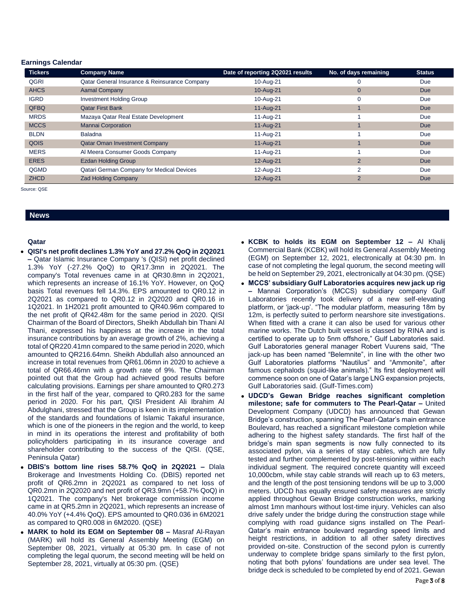## **Earnings Calendar**

| <b>Tickers</b> | <b>Company Name</b>                           | Date of reporting 2Q2021 results | No. of days remaining | <b>Status</b> |
|----------------|-----------------------------------------------|----------------------------------|-----------------------|---------------|
| QGRI           | Qatar General Insurance & Reinsurance Company | 10-Aug-21                        |                       | Due           |
| <b>AHCS</b>    | <b>Aamal Company</b>                          | 10-Aug-21                        | 0                     | <b>Due</b>    |
| <b>IGRD</b>    | <b>Investment Holding Group</b>               | 10-Aug-21                        | 0                     | Due           |
| QFBQ           | <b>Qatar First Bank</b>                       | 11-Aug-21                        |                       | <b>Due</b>    |
| <b>MRDS</b>    | Mazaya Qatar Real Estate Development          | 11-Aug-21                        |                       | Due           |
| <b>MCCS</b>    | <b>Mannai Corporation</b>                     | 11-Aug-21                        |                       | <b>Due</b>    |
| <b>BLDN</b>    | <b>Baladna</b>                                | 11-Aug-21                        |                       | Due           |
| QOIS           | <b>Qatar Oman Investment Company</b>          | 11-Aug-21                        |                       | <b>Due</b>    |
| <b>MERS</b>    | Al Meera Consumer Goods Company               | 11-Aug-21                        |                       | Due           |
| <b>ERES</b>    | <b>Ezdan Holding Group</b>                    | 12-Aug-21                        | $\overline{2}$        | <b>Due</b>    |
| QGMD           | Qatari German Company for Medical Devices     | 12-Aug-21                        | $\overline{2}$        | Due           |
| <b>ZHCD</b>    | <b>Zad Holding Company</b>                    | 12-Aug-21                        | $\overline{2}$        | <b>Due</b>    |

Source: QSE

# **News**

# **Qatar**

- **QISI's net profit declines 1.3% YoY and 27.2% QoQ in 2Q2021 –** Qatar Islamic Insurance Company 's (QISI) net profit declined 1.3% YoY (-27.2% QoQ) to QR17.3mn in 2Q2021. The company's Total revenues came in at QR30.8mn in 2Q2021, which represents an increase of 16.1% YoY. However, on QoQ basis Total revenues fell 14.3%. EPS amounted to QR0.12 in 2Q2021 as compared to QR0.12 in 2Q2020 and QR0.16 in 1Q2021. In 1H2021 profit amounted to QR40.96m compared to the net profit of QR42.48m for the same period in 2020. QISI Chairman of the Board of Directors, Sheikh Abdullah bin Thani Al Thani, expressed his happiness at the increase in the total insurance contributions by an average growth of 2%, achieving a total of QR220.41mn compared to the same period in 2020, which amounted to QR216.64mn. Sheikh Abdullah also announced an increase in total revenues from QR61.06mn in 2020 to achieve a total of QR66.46mn with a growth rate of 9%. The Chairman pointed out that the Group had achieved good results before calculating provisions. Earnings per share amounted to QR0.273 in the first half of the year, compared to QR0.283 for the same period in 2020. For his part, QISI President Ali Ibrahim Al Abdulghani, stressed that the Group is keen in its implementation of the standards and foundations of Islamic Takaful insurance, which is one of the pioneers in the region and the world, to keep in mind in its operations the interest and profitability of both policyholders participating in its insurance coverage and shareholder contributing to the success of the QISI. (QSE, Peninsula Qatar)
- **DBIS's bottom line rises 58.7% QoQ in 2Q2021 –** Dlala Brokerage and Investments Holding Co. (DBIS) reported net profit of QR6.2mn in 2Q2021 as compared to net loss of QR0.2mn in 2Q2020 and net profit of QR3.9mn (+58.7% QoQ) in 1Q2021. The company's Net brokerage commission income came in at QR5.2mn in 2Q2021, which represents an increase of 40.0% YoY (+4.4% QoQ). EPS amounted to QR0.036 in 6M2021 as compared to QR0.008 in 6M2020. (QSE)
- **MARK to hold its EGM on September 08 –** Masraf Al-Rayan (MARK) will hold its General Assembly Meeting (EGM) on September 08, 2021, virtually at 05:30 pm. In case of not completing the legal quorum, the second meeting will be held on September 28, 2021, virtually at 05:30 pm. (QSE)
- **KCBK to holds its EGM on September 12 –** Al Khalij Commercial Bank (KCBK) will hold its General Assembly Meeting (EGM) on September 12, 2021, electronically at 04:30 pm. In case of not completing the legal quorum, the second meeting will be held on September 29, 2021, electronically at 04:30 pm. (QSE)
- **MCCS' subsidiary Gulf Laboratories acquires new jack up rig –** Mannai Corporation's (MCCS) subsidiary company Gulf Laboratories recently took delivery of a new self-elevating platform, or 'jack-up'. "The modular platform, measuring 18m by 12m, is perfectly suited to perform nearshore site investigations. When fitted with a crane it can also be used for various other marine works. The Dutch built vessel is classed by RINA and is certified to operate up to 5nm offshore," Gulf Laboratories said. Gulf Laboratories general manager Robert Vuurens said, "The jack-up has been named "Belemnite", in line with the other two Gulf Laboratories platforms "Nautilus" and "Ammonite", after famous cephalods (squid-like animals)." Its first deployment will commence soon on one of Qatar's large LNG expansion projects, Gulf Laboratories said. (Gulf-Times.com)
- **UDCD's Gewan Bridge reaches significant completion milestone; safe for commuters to The Pearl-Qatar –** United Development Company (UDCD) has announced that Gewan Bridge's construction, spanning The Pearl-Qatar's main entrance Boulevard, has reached a significant milestone completion while adhering to the highest safety standards. The first half of the bridge's main span segments is now fully connected to its associated pylon, via a series of stay cables, which are fully tested and further complemented by post-tensioning within each individual segment. The required concrete quantity will exceed 10,000cbm, while stay cable strands will reach up to 63 meters, and the length of the post tensioning tendons will be up to 3,000 meters. UDCD has equally ensured safety measures are strictly applied throughout Gewan Bridge construction works, marking almost 1mn manhours without lost-time injury. Vehicles can also drive safely under the bridge during the construction stage while complying with road guidance signs installed on The Pearl-Qatar's main entrance boulevard regarding speed limits and height restrictions, in addition to all other safety directives provided on-site. Construction of the second pylon is currently underway to complete bridge spans similarly to the first pylon, noting that both pylons' foundations are under sea level. The bridge deck is scheduled to be completed by end of 2021. Gewan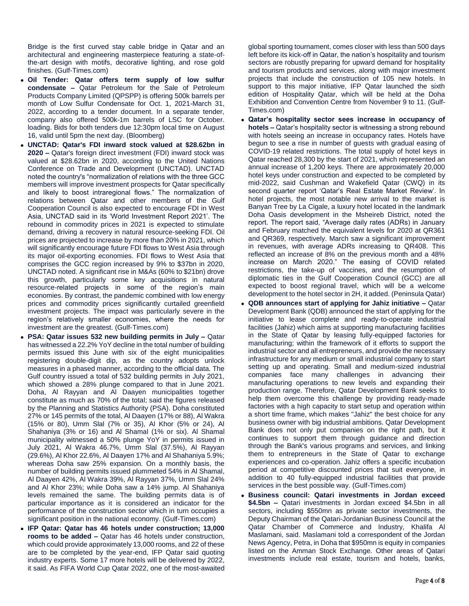Bridge is the first curved stay cable bridge in Qatar and an architectural and engineering masterpiece featuring a state-ofthe-art design with motifs, decorative lighting, and rose gold finishes. (Gulf-Times.com)

- **Oil Tender: Qatar offers term supply of low sulfur condensate –** Qatar Petroleum for the Sale of Petroleum Products Company Limited (QPSPP) is offering 500k barrels per month of Low Sulfur Condensate for Oct. 1, 2021-March 31, 2022, according to a tender document. In a separate tender, company also offered 500k-1m barrels of LSC for October. loading. Bids for both tenders due 12:30pm local time on August 16, valid until 5pm the next day. (Bloomberg)
- **UNCTAD: Qatar's FDI inward stock valued at \$28.62bn in 2020 –** Qatar's foreign direct investment (FDI) inward stock was valued at \$28.62bn in 2020, according to the United Nations Conference on Trade and Development (UNCTAD). UNCTAD noted the country's "normalization of relations with the three GCC members will improve investment prospects for Qatar specifically and likely to boost intraregional flows." The normalization of relations between Qatar and other members of the Gulf Cooperation Council is also expected to encourage FDI in West Asia, UNCTAD said in its 'World Investment Report 2021'. The rebound in commodity prices in 2021 is expected to stimulate demand, driving a recovery in natural resource-seeking FDI. Oil prices are projected to increase by more than 20% in 2021, which will significantly encourage future FDI flows to West Asia through its major oil-exporting economies. FDI flows to West Asia that comprises the GCC region increased by 9% to \$37bn in 2020, UNCTAD noted. A significant rise in M&As (60% to \$21bn) drove this growth, particularly some key acquisitions in natural resource-related projects in some of the region's main economies. By contrast, the pandemic combined with low energy prices and commodity prices significantly curtailed greenfield investment projects. The impact was particularly severe in the region's relatively smaller economies, where the needs for investment are the greatest. (Gulf-Times.com)
- **PSA: Qatar issues 532 new building permits in July –** Qatar has witnessed a 22.2% YoY decline in the total number of building permits issued this June with six of the eight municipalities registering double-digit dip, as the country adopts unlock measures in a phased manner, according to the official data. The Gulf country issued a total of 532 building permits in July 2021, which showed a 28% plunge compared to that in June 2021. Doha, Al Rayyan and Al Daayen municipalities together constitute as much as 70% of the total; said the figures released by the Planning and Statistics Authority (PSA). Doha constituted 27% or 145 permits of the total, Al Daayen (17% or 88), Al Wakra (15% or 80), Umm Slal (7% or 35), Al Khor (5% or 24), Al Shahaniya (3% or 16) and Al Shamal (1% or six). Al Shamal municipality witnessed a 50% plunge YoY in permits issued in July 2021, Al Wakra 46.7%, Umm Slal (37.5%), Al Rayyan (29.6%), Al Khor 22.6%, Al Daayen 17% and Al Shahaniya 5.9%; whereas Doha saw 25% expansion. On a monthly basis, the number of building permits issued plummeted 54% in Al Shamal, Al Daayen 42%, Al Wakra 39%, Al Rayyan 37%, Umm Slal 24% and Al Khor 23%; while Doha saw a 14% jump. Al Shahaniya levels remained the same. The building permits data is of particular importance as it is considered an indicator for the performance of the construction sector which in turn occupies a significant position in the national economy. (Gulf-Times.com)
- **IFP Qatar: Qatar has 46 hotels under construction; 13,000 rooms to be added –** Qatar has 46 hotels under construction, which could provide approximately 13,000 rooms, and 22 of these are to be completed by the year-end, IFP Qatar said quoting industry experts. Some 17 more hotels will be delivered by 2022, it said. As FIFA World Cup Qatar 2022, one of the most-awaited

global sporting tournament, comes closer with less than 500 days left before its kick-off in Qatar, the nation's hospitality and tourism sectors are robustly preparing for upward demand for hospitality and tourism products and services, along with major investment projects that include the construction of 105 new hotels. In support to this major initiative, IFP Qatar launched the sixth edition of Hospitality Qatar, which will be held at the Doha Exhibition and Convention Centre from November 9 to 11. (Gulf-Times.com)

- **Qatar's hospitality sector sees increase in occupancy of hotels –** Qatar's hospitality sector is witnessing a strong rebound with hotels seeing an increase in occupancy rates. Hotels have begun to see a rise in number of guests with gradual easing of COVID-19 related restrictions. The total supply of hotel keys in Qatar reached 28,300 by the start of 2021, which represented an annual increase of 1,200 keys. There are approximately 20,000 hotel keys under construction and expected to be completed by mid-2022, said Cushman and Wakefield Qatar (CWQ) in its second quarter report 'Qatar's Real Estate Market Review'. In hotel projects, the most notable new arrival to the market is Banyan Tree by La Cigale, a luxury hotel located in the landmark Doha Oasis development in the Msheireb District, noted the report. The report said, "Average daily rates (ADRs) in January and February matched the equivalent levels for 2020 at QR361 and QR369, respectively. March saw a significant improvement in revenues, with average ADRs increasing to QR408. This reflected an increase of 8% on the previous month and a 48% increase on March 2020." The easing of COVID related restrictions, the take-up of vaccines, and the resumption of diplomatic ties in the Gulf Cooperation Council (GCC) are all expected to boost regional travel, which will be a welcome development to the hotel sector in 2H, it added. (Peninsula Qatar)
- **QDB announces start of applying for Jahiz initiative –** Qatar Development Bank (QDB) announced the start of applying for the initiative to lease complete and ready-to-operate industrial facilities (Jahiz) which aims at supporting manufacturing facilities in the State of Qatar by leasing fully-equipped factories for manufacturing; within the framework of it efforts to support the industrial sector and all entrepreneurs, and provide the necessary infrastructure for any medium or small industrial company to start setting up and operating. Small and medium-sized industrial companies face many challenges in advancing their manufacturing operations to new levels and expanding their production range. Therefore, Qatar Development Bank seeks to help them overcome this challenge by providing ready-made factories with a high capacity to start setup and operation within a short time frame, which makes "Jahiz" the best choice for any business owner with big industrial ambitions. Qatar Development Bank does not only put companies on the right path, but it continues to support them through guidance and direction through the Bank's various programs and services, and linking them to entrepreneurs in the State of Qatar to exchange experiences and co-operation. Jahiz offers a specific incubation period at competitive discounted prices that suit everyone, in addition to 40 fully-equipped industrial facilities that provide services in the best possible way. (Gulf-Times.com)
- **Business council: Qatari investments in Jordan exceed \$4.5bn –** Qatari investments in Jordan exceed \$4.5bn in all sectors, including \$550mn as private sector investments, the Deputy Chairman of the Qatari-Jordanian Business Council at the Qatar Chamber of Commerce and Industry, Khalifa Al Maslamani, said. Maslamani told a correspondent of the Jordan News Agency, Petra, in Doha that \$950mn is equity in companies listed on the Amman Stock Exchange. Other areas of Qatari investments include real estate, tourism and hotels, banks,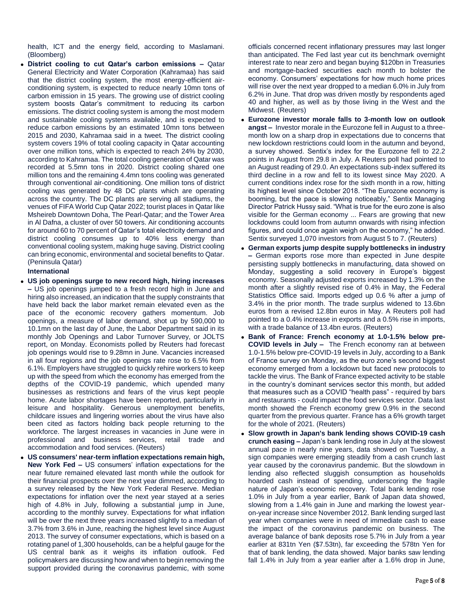health, ICT and the energy field, according to Maslamani. (Bloomberg)

 **District cooling to cut Qatar's carbon emissions –** Qatar General Electricity and Water Corporation (Kahramaa) has said that the district cooling system, the most energy-efficient airconditioning system, is expected to reduce nearly 10mn tons of carbon emission in 15 years. The growing use of district cooling system boosts Qatar's commitment to reducing its carbon emissions. The district cooling system is among the most modern and sustainable cooling systems available, and is expected to reduce carbon emissions by an estimated 10mn tons between 2015 and 2030, Kahramaa said in a tweet. The district cooling system covers 19% of total cooling capacity in Qatar accounting over one million tons, which is expected to reach 24% by 2030, according to Kahramaa. The total cooling generation of Qatar was recorded at 5.5mn tons in 2020. District cooling shared one million tons and the remaining 4.4mn tons cooling was generated through conventional air-conditioning. One million tons of district cooling was generated by 48 DC plants which are operating across the country. The DC plants are serving all stadiums, the venues of FIFA World Cup Qatar 2022; tourist places in Qatar like Msheireb Downtown Doha, The Pearl-Qatar; and the Tower Area in Al Dafna, a cluster of over 50 towers. Air conditioning accounts for around 60 to 70 percent of Qatar's total electricity demand and district cooling consumes up to 40% less energy than conventional cooling system, making huge saving. District cooling can bring economic, environmental and societal benefits to Qatar. (Peninsula Qatar)

# **International**

- **US job openings surge to new record high, hiring increases –** US job openings jumped to a fresh record high in June and hiring also increased, an indication that the supply constraints that have held back the labor market remain elevated even as the pace of the economic recovery gathers momentum. Job openings, a measure of labor demand, shot up by 590,000 to 10.1mn on the last day of June, the Labor Department said in its monthly Job Openings and Labor Turnover Survey, or JOLTS report, on Monday. Economists polled by Reuters had forecast job openings would rise to 9.28mn in June. Vacancies increased in all four regions and the job openings rate rose to 6.5% from 6.1%. Employers have struggled to quickly rehire workers to keep up with the speed from which the economy has emerged from the depths of the COVID-19 pandemic, which upended many businesses as restrictions and fears of the virus kept people home. Acute labor shortages have been reported, particularly in leisure and hospitality. Generous unemployment benefits, childcare issues and lingering worries about the virus have also been cited as factors holding back people returning to the workforce. The largest increases in vacancies in June were in professional and business services, retail trade and accommodation and food services. (Reuters)
- **US consumers' near-term inflation expectations remain high, New York Fed –** US consumers' inflation expectations for the near future remained elevated last month while the outlook for their financial prospects over the next year dimmed, according to a survey released by the New York Federal Reserve. Median expectations for inflation over the next year stayed at a series high of 4.8% in July, following a substantial jump in June, according to the monthly survey. Expectations for what inflation will be over the next three years increased slightly to a median of 3.7% from 3.6% in June, reaching the highest level since August 2013. The survey of consumer expectations, which is based on a rotating panel of 1,300 households, can be a helpful gauge for the US central bank as it weighs its inflation outlook. Fed policymakers are discussing how and when to begin removing the support provided during the coronavirus pandemic, with some

officials concerned recent inflationary pressures may last longer than anticipated. The Fed last year cut its benchmark overnight interest rate to near zero and began buying \$120bn in Treasuries and mortgage-backed securities each month to bolster the economy. Consumers' expectations for how much home prices will rise over the next year dropped to a median 6.0% in July from 6.2% in June. That drop was driven mostly by respondents aged 40 and higher, as well as by those living in the West and the Midwest. (Reuters)

- **Eurozone investor morale falls to 3-month low on outlook angst –** Investor morale in the Eurozone fell in August to a threemonth low on a sharp drop in expectations due to concerns that new lockdown restrictions could loom in the autumn and beyond, a survey showed. Sentix's index for the Eurozone fell to 22.2 points in August from 29.8 in July. A Reuters poll had pointed to an August reading of 29.0. An expectations sub-index suffered its third decline in a row and fell to its lowest since May 2020. A current conditions index rose for the sixth month in a row, hitting its highest level since October 2018. "The Eurozone economy is booming, but the pace is slowing noticeably," Sentix Managing Director Patrick Hussy said. "What is true for the euro zone is also visible for the German economy ... Fears are growing that new lockdowns could loom from autumn onwards with rising infection figures, and could once again weigh on the economy," he added. Sentix surveyed 1,070 investors from August 5 to 7. (Reuters)
- **German exports jump despite supply bottlenecks in industry –** German exports rose more than expected in June despite persisting supply bottlenecks in manufacturing, data showed on Monday, suggesting a solid recovery in Europe's biggest economy. Seasonally adjusted exports increased by 1.3% on the month after a slightly revised rise of 0.4% in May, the Federal Statistics Office said. Imports edged up 0.6 % after a jump of 3.4% in the prior month. The trade surplus widened to 13.6bn euros from a revised 12.8bn euros in May. A Reuters poll had pointed to a 0.4% increase in exports and a 0.5% rise in imports, with a trade balance of 13.4bn euros. (Reuters)
- **Bank of France: French economy at 1.0-1.5% below pre-COVID levels in July –** The French economy ran at between 1.0-1.5% below pre-COVID-19 levels in July, according to a Bank of France survey on Monday, as the euro zone's second biggest economy emerged from a lockdown but faced new protocols to tackle the virus. The Bank of France expected activity to be stable in the country's dominant services sector this month, but added that measures such as a COVID "health pass" - required by bars and restaurants - could impact the food services sector. Data last month showed the French economy grew 0.9% in the second quarter from the previous quarter. France has a 6% growth target for the whole of 2021. (Reuters)
- **Slow growth in Japan's bank lending shows COVID-19 cash crunch easing –** Japan's bank lending rose in July at the slowest annual pace in nearly nine years, data showed on Tuesday, a sign companies were emerging steadily from a cash crunch last year caused by the coronavirus pandemic. But the slowdown in lending also reflected sluggish consumption as households hoarded cash instead of spending, underscoring the fragile nature of Japan's economic recovery. Total bank lending rose 1.0% in July from a year earlier, Bank of Japan data showed, slowing from a 1.4% gain in June and marking the lowest yearon-year increase since November 2012. Bank lending surged last year when companies were in need of immediate cash to ease the impact of the coronavirus pandemic on business. The average balance of bank deposits rose 5.7% in July from a year earlier at 831tn Yen (\$7.53tn), far exceeding the 578tn Yen for that of bank lending, the data showed. Major banks saw lending fall 1.4% in July from a year earlier after a 1.6% drop in June,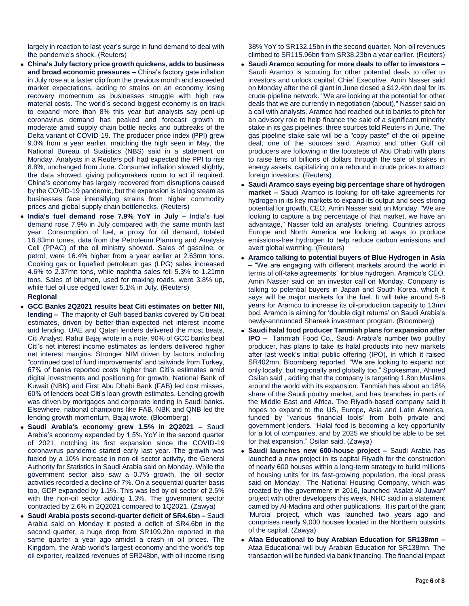largely in reaction to last year's surge in fund demand to deal with the pandemic's shock. (Reuters)

- **China's July factory price growth quickens, adds to business and broad economic pressures –** China's factory gate inflation in July rose at a faster clip from the previous month and exceeded market expectations, adding to strains on an economy losing recovery momentum as businesses struggle with high raw material costs. The world's second-biggest economy is on track to expand more than 8% this year but analysts say pent-up coronavirus demand has peaked and forecast growth to moderate amid supply chain bottle necks and outbreaks of the Delta variant of COVID-19. The producer price index (PPI) grew 9.0% from a year earlier, matching the high seen in May, the National Bureau of Statistics (NBS) said in a statement on Monday. Analysts in a Reuters poll had expected the PPI to rise 8.8%, unchanged from June. Consumer inflation slowed slightly, the data showed, giving policymakers room to act if required. China's economy has largely recovered from disruptions caused by the COVID-19 pandemic, but the expansion is losing steam as businesses face intensifying strains from higher commodity prices and global supply chain bottlenecks. (Reuters)
- **India's fuel demand rose 7.9% YoY in July –** India's fuel demand rose 7.9% in July compared with the same month last year. Consumption of fuel, a proxy for oil demand, totaled 16.83mn tones, data from the Petroleum Planning and Analysis Cell (PPAC) of the oil ministry showed. Sales of gasoline, or petrol, were 16.4% higher from a year earlier at 2.63mn tons. Cooking gas or liquefied petroleum gas (LPG) sales increased 4.6% to 2.37mn tons, while naphtha sales fell 5.3% to 1.21mn tons. Sales of bitumen, used for making roads, were 3.8% up, while fuel oil use edged lower 5.1% in July. (Reuters)

# **Regional**

- **GCC Banks 2Q2021 results beat Citi estimates on better NII, lending –** The majority of Gulf-based banks covered by Citi beat estimates, driven by better-than-expected net interest income and lending. UAE and Qatari lenders delivered the most beats, Citi Analyst, Rahul Bajaj wrote in a note, 90% of GCC banks beat Citi's net interest income estimates as lenders delivered higher net interest margins. Stronger NIM driven by factors including "continued cost of fund improvements" and tailwinds from Turkey, 67% of banks reported costs higher than Citi's estimates amid digital investments and positioning for growth. National Bank of Kuwait (NBK) and First Abu Dhabi Bank (FAB) led cost misses, 60% of lenders beat Citi's loan growth estimates. Lending growth was driven by mortgages and corporate lending in Saudi banks. Elsewhere, national champions like FAB, NBK and QNB led the lending growth momentum, Bajaj wrote. (Bloomberg)
- **Saudi Arabia's economy grew 1.5% in 2Q2021 –** Saudi Arabia's economy expanded by 1.5% YoY in the second quarter of 2021, notching its first expansion since the COVID-19 coronavirus pandemic started early last year. The growth was fueled by a 10% increase in non-oil sector activity, the General Authority for Statistics in Saudi Arabia said on Monday. While the government sector also saw a 0.7% growth, the oil sector activities recorded a decline of 7%. On a sequential quarter basis too, GDP expanded by 1.1%. This was led by oil sector of 2.5% with the non-oil sector adding 1.3%. The government sector contracted by 2.6% in 2Q2021 compared to 1Q2021. (Zawya)
- **Saudi Arabia posts second-quarter deficit of SR4.6bn –** Saudi Arabia said on Monday it posted a deficit of SR4.6bn in the second quarter, a huge drop from SR109.2bn reported in the same quarter a year ago amidst a crash in oil prices. The Kingdom, the Arab world's largest economy and the world's top oil exporter, realized revenues of SR248bn, with oil income rising

38% YoY to SR132.15bn in the second quarter. Non-oil revenues climbed to SR115.96bn from SR38.23bn a year earlier. (Reuters)

- **Saudi Aramco scouting for more deals to offer to investors –** Saudi Aramco is scouting for other potential deals to offer to investors and unlock capital, Chief Executive, Amin Nasser said on Monday after the oil giant in June closed a \$12.4bn deal for its crude pipeline network. "We are looking at the potential for other deals that we are currently in negotiation (about)," Nasser said on a call with analysts. Aramco had reached out to banks to pitch for an advisory role to help finance the sale of a significant minority stake in its gas pipelines, three sources told Reuters in June. The gas pipeline stake sale will be a "copy paste" of the oil pipeline deal, one of the sources said. Aramco and other Gulf oil producers are following in the footsteps of Abu Dhabi with plans to raise tens of billions of dollars through the sale of stakes in energy assets, capitalizing on a rebound in crude prices to attract foreign investors. (Reuters)
- **Saudi Aramco says eyeing big percentage share of hydrogen market –** Saudi Aramco is looking for off-take agreements for hydrogen in its key markets to expand its output and sees strong potential for growth, CEO, Amin Nasser said on Monday. "We are looking to capture a big percentage of that market, we have an advantage," Nasser told an analysts' briefing. Countries across Europe and North America are looking at ways to produce emissions-free hydrogen to help reduce carbon emissions and avert global warming. (Reuters)
- **Aramco talking to potential buyers of Blue Hydrogen in Asia –** "We are engaging with different markets around the world in terms of off-take agreements" for blue hydrogen, Aramco's CEO, Amin Nasser said on an investor call on Monday. Company is talking to potential buyers in Japan and South Korea, which it says will be major markets for the fuel. It will take around 5-8 years for Aramco to increase its oil-production capacity to 13mn bpd. Aramco is aiming for 'double digit returns' on Saudi Arabia's newly-announced Shareek investment program. (Bloomberg)
- **Saudi halal food producer Tanmiah plans for expansion after IPO –** Tanmiah Food Co., Saudi Arabia's number two poultry producer, has plans to take its halal products into new markets after last week's initial public offering (IPO), in which it raised SR402mn, Bloomberg reported. "We are looking to expand not only locally, but regionally and globally too," Spokesman, Ahmed Osilan said , adding that the company is targeting 1.8bn Muslims around the world with its expansion. Tanmiah has about an 18% share of the Saudi poultry market, and has branches in parts of the Middle East and Africa. The Riyadh-based company said it hopes to expand to the US, Europe, Asia and Latin America, funded by "various financial tools" from both private and government lenders. "Halal food is becoming a key opportunity for a lot of companies, and by 2025 we should be able to be set for that expansion," Osilan said. (Zawya)
- **Saudi launches new 600-house project –** Saudi Arabia has launched a new project in its capital Riyadh for the construction of nearly 600 houses within a long-term strategy to build millions of housing units for its fast-growing population, the local press said on Monday. The National Housing Company, which was created by the government in 2016, launched 'Asalat Al-Juwan' project with other developers this week, NHC said in a statement carried by Al-Madina and other publications. It is part of the giant 'Murcia' project, which was launched two years ago and comprises nearly 9,000 houses located in the Northern outskirts of the capital. (Zawya)
- **Ataa Educational to buy Arabian Education for SR138mn –** Ataa Educational will buy Arabian Education for SR138mn. The transaction will be funded via bank financing. The financial impact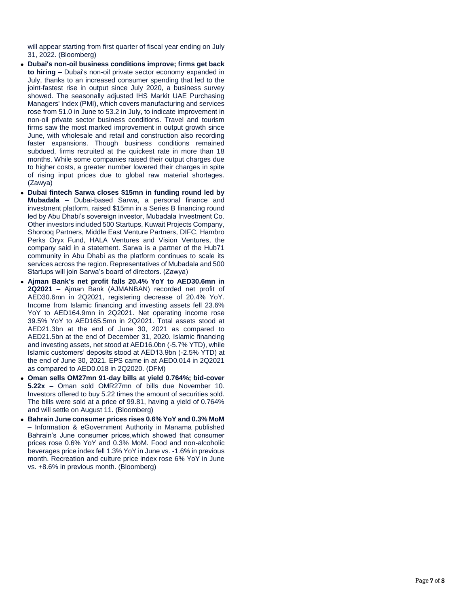will appear starting from first quarter of fiscal year ending on July 31, 2022. (Bloomberg)

- **-** Dubai's non-oil business conditions improve; firms get back **to hiring -** Dubai's non-oil private sector economy expanded in July, thanks to an increased consumer spending that led to the joint -fastest rise in output since July 2020, a business survey showed. The seasonally adjusted IHS Markit UAE Purchasing Managers' Index (PMI), which covers manufacturing and services rose from 51.0 in June to 53.2 in July, to indicate improvement in non -oil private sector business conditions. Travel and tourism firms saw the most marked improvement in output growth since June, with wholesale and retail and construction also recording faster expansions. Though business conditions remained subdued, firms recruited at the quickest rate in more than 18 months. While some companies raised their output charges due to higher costs, a greater number lowered their charges in spite of rising input prices due to global raw material shortages. (Zawya)
- **Dubai fintech Sarwa closes \$15mn in funding round led by**  Mubadala - Dubai-based Sarwa, a personal finance and investment platform, raised \$15mn in a Series B financing round led by Abu Dhabi's sovereign investor, Mubadala Investment Co. Other investors included 500 Startups, Kuwait Projects Company, Shorooq Partners, Middle East Venture Partners, DIFC, Hambro Perks Oryx Fund, HALA Ventures and Vision Ventures, the company said in a statement. Sarwa is a partner of the Hub71 community in Abu Dhabi as the platform continues to scale its services across the region. Representatives of Mubadala and 500 Startups will join Sarwa's board of directors. (Zawya)
- **Ajman Bank's net profit falls 20.4% YoY to AED30.6mn in 2Q2021 –** Ajman Bank (AJMANBAN) recorded net profit of AED30.6mn in 2Q2021, registering decrease of 20.4% YoY. Income from Islamic financing and investing assets fell 23.6% YoY to AED164.9mn in 2Q2021. Net operating income rose 39.5% YoY to AED165.5mn in 2Q2021. Total assets stood at AED21.3bn at the end of June 30, 2021 as compared to AED21.5bn at the end of December 31, 2020. Islamic financing and investing assets, net stood at AED16.0bn ( -5.7% YTD), while Islamic customers' deposits stood at AED13.9bn ( -2.5% YTD) at the end of June 30, 2021. EPS came in at AED0.014 in 2Q2021 as compared to AED0.018 in 2Q2020. (DFM)
- **Oman sells OM27mn 91-day bills at yield 0.764%; bid-cover 5.22x –** Oman sold OMR27mn of bills due November 10. Investors offered to buy 5.22 times the amount of securities sold. The bills were sold at a price of 99.81, having a yield of 0.764% and will settle on August 11. (Bloomberg)
- **Bahrain June consumer prices rises 0.6% YoY and 0.3% MoM –** Information & eGovernment Authority in Manama published Bahrain's June consumer prices,which showed that consumer prices rose 0.6% YoY and 0.3% MoM. Food and non -alcoholic beverages price index fell 1.3% YoY in June vs. -1.6% in previous month. Recreation and culture price index rose 6% YoY in June vs. +8.6% in previous month. (Bloomberg)